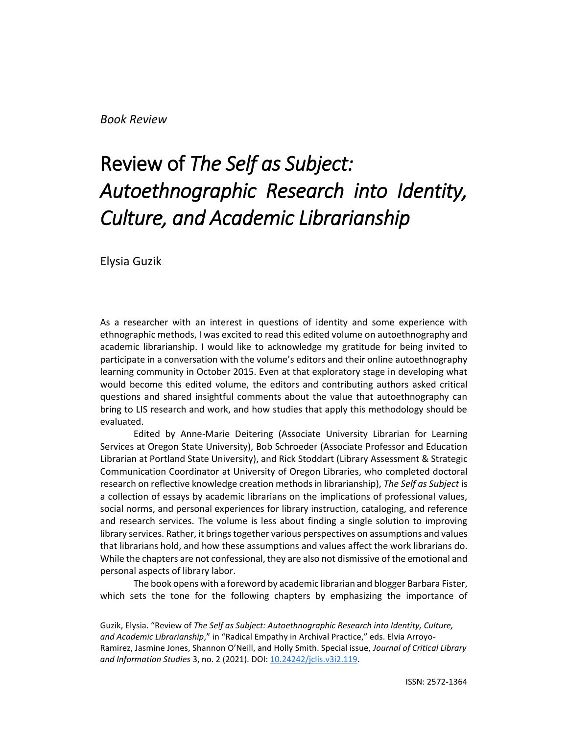*Book Review*

## Review of *The Self as Subject: Autoethnographic Research into Identity, Culture, and Academic Librarianship*

Elysia Guzik

As a researcher with an interest in questions of identity and some experience with ethnographic methods, I was excited to read this edited volume on autoethnography and academic librarianship. I would like to acknowledge my gratitude for being invited to participate in a conversation with the volume's editors and their online autoethnography learning community in October 2015. Even at that exploratory stage in developing what would become this edited volume, the editors and contributing authors asked critical questions and shared insightful comments about the value that autoethnography can bring to LIS research and work, and how studies that apply this methodology should be evaluated.

Edited by Anne-Marie Deitering (Associate University Librarian for Learning Services at Oregon State University), Bob Schroeder (Associate Professor and Education Librarian at Portland State University), and Rick Stoddart (Library Assessment & Strategic Communication Coordinator at University of Oregon Libraries, who completed doctoral research on reflective knowledge creation methods in librarianship), *The Self as Subject* is a collection of essays by academic librarians on the implications of professional values, social norms, and personal experiences for library instruction, cataloging, and reference and research services. The volume is less about finding a single solution to improving library services. Rather, it brings together various perspectives on assumptions and values that librarians hold, and how these assumptions and values affect the work librarians do. While the chapters are not confessional, they are also not dismissive of the emotional and personal aspects of library labor.

The book opens with a foreword by academic librarian and blogger Barbara Fister, which sets the tone for the following chapters by emphasizing the importance of

Guzik, Elysia. "Review of *The Self as Subject: Autoethnographic Research into Identity, Culture, and Academic Librarianship*," in "Radical Empathy in Archival Practice," eds. Elvia Arroyo-Ramirez, Jasmine Jones, Shannon O'Neill, and Holly Smith. Special issue, *Journal of Critical Library and Information Studies* 3, no. 2 (2021). DOI[: 10.24242/jclis.v3i2.119.](https://doi.org/10.24242/jclis.v3i2.119)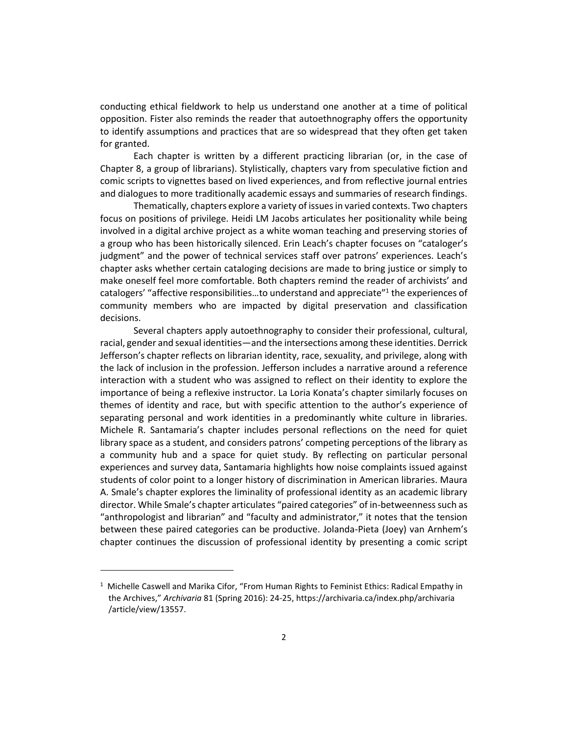conducting ethical fieldwork to help us understand one another at a time of political opposition. Fister also reminds the reader that autoethnography offers the opportunity to identify assumptions and practices that are so widespread that they often get taken for granted.

Each chapter is written by a different practicing librarian (or, in the case of Chapter 8, a group of librarians). Stylistically, chapters vary from speculative fiction and comic scripts to vignettes based on lived experiences, and from reflective journal entries and dialogues to more traditionally academic essays and summaries of research findings.

Thematically, chapters explore a variety of issues in varied contexts. Two chapters focus on positions of privilege. Heidi LM Jacobs articulates her positionality while being involved in a digital archive project as a white woman teaching and preserving stories of a group who has been historically silenced. Erin Leach's chapter focuses on "cataloger's judgment" and the power of technical services staff over patrons' experiences. Leach's chapter asks whether certain cataloging decisions are made to bring justice or simply to make oneself feel more comfortable. Both chapters remind the reader of archivists' and catalogers' "affective responsibilities...to understand and appreciate"<sup>1</sup> the experiences of community members who are impacted by digital preservation and classification decisions.

Several chapters apply autoethnography to consider their professional, cultural, racial, gender and sexual identities—and the intersections among these identities. Derrick Jefferson's chapter reflects on librarian identity, race, sexuality, and privilege, along with the lack of inclusion in the profession. Jefferson includes a narrative around a reference interaction with a student who was assigned to reflect on their identity to explore the importance of being a reflexive instructor. La Loria Konata's chapter similarly focuses on themes of identity and race, but with specific attention to the author's experience of separating personal and work identities in a predominantly white culture in libraries. Michele R. Santamaria's chapter includes personal reflections on the need for quiet library space as a student, and considers patrons' competing perceptions of the library as a community hub and a space for quiet study. By reflecting on particular personal experiences and survey data, Santamaria highlights how noise complaints issued against students of color point to a longer history of discrimination in American libraries. Maura A. Smale's chapter explores the liminality of professional identity as an academic library director. While Smale's chapter articulates "paired categories" of in-betweenness such as "anthropologist and librarian" and "faculty and administrator," it notes that the tension between these paired categories can be productive. Jolanda-Pieta (Joey) van Arnhem's chapter continues the discussion of professional identity by presenting a comic script

 $<sup>1</sup>$  Michelle Caswell and Marika Cifor, "From Human Rights to Feminist Ethics: Radical Empathy in</sup> the Archives," *Archivaria* 81 (Spring 2016): 24-25, https://archivaria.ca/index.php/archivaria /article/view/13557.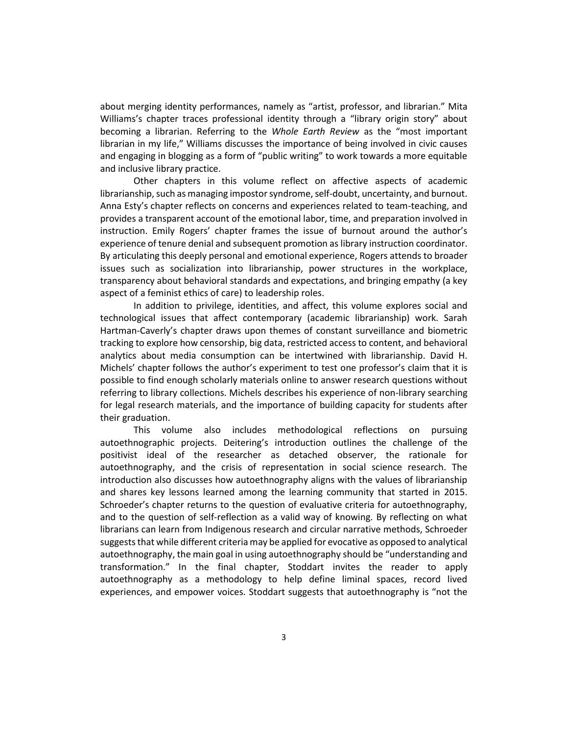about merging identity performances, namely as "artist, professor, and librarian." Mita Williams's chapter traces professional identity through a "library origin story" about becoming a librarian. Referring to the *Whole Earth Review* as the "most important librarian in my life," Williams discusses the importance of being involved in civic causes and engaging in blogging as a form of "public writing" to work towards a more equitable and inclusive library practice.

Other chapters in this volume reflect on affective aspects of academic librarianship, such as managing impostor syndrome, self-doubt, uncertainty, and burnout. Anna Esty's chapter reflects on concerns and experiences related to team-teaching, and provides a transparent account of the emotional labor, time, and preparation involved in instruction. Emily Rogers' chapter frames the issue of burnout around the author's experience of tenure denial and subsequent promotion as library instruction coordinator. By articulating this deeply personal and emotional experience, Rogers attends to broader issues such as socialization into librarianship, power structures in the workplace, transparency about behavioral standards and expectations, and bringing empathy (a key aspect of a feminist ethics of care) to leadership roles.

In addition to privilege, identities, and affect, this volume explores social and technological issues that affect contemporary (academic librarianship) work. Sarah Hartman-Caverly's chapter draws upon themes of constant surveillance and biometric tracking to explore how censorship, big data, restricted access to content, and behavioral analytics about media consumption can be intertwined with librarianship. David H. Michels' chapter follows the author's experiment to test one professor's claim that it is possible to find enough scholarly materials online to answer research questions without referring to library collections. Michels describes his experience of non-library searching for legal research materials, and the importance of building capacity for students after their graduation.

This volume also includes methodological reflections on pursuing autoethnographic projects. Deitering's introduction outlines the challenge of the positivist ideal of the researcher as detached observer, the rationale for autoethnography, and the crisis of representation in social science research. The introduction also discusses how autoethnography aligns with the values of librarianship and shares key lessons learned among the learning community that started in 2015. Schroeder's chapter returns to the question of evaluative criteria for autoethnography, and to the question of self-reflection as a valid way of knowing. By reflecting on what librarians can learn from Indigenous research and circular narrative methods, Schroeder suggests that while different criteria may be applied for evocative as opposed to analytical autoethnography, the main goal in using autoethnography should be "understanding and transformation." In the final chapter, Stoddart invites the reader to apply autoethnography as a methodology to help define liminal spaces, record lived experiences, and empower voices. Stoddart suggests that autoethnography is "not the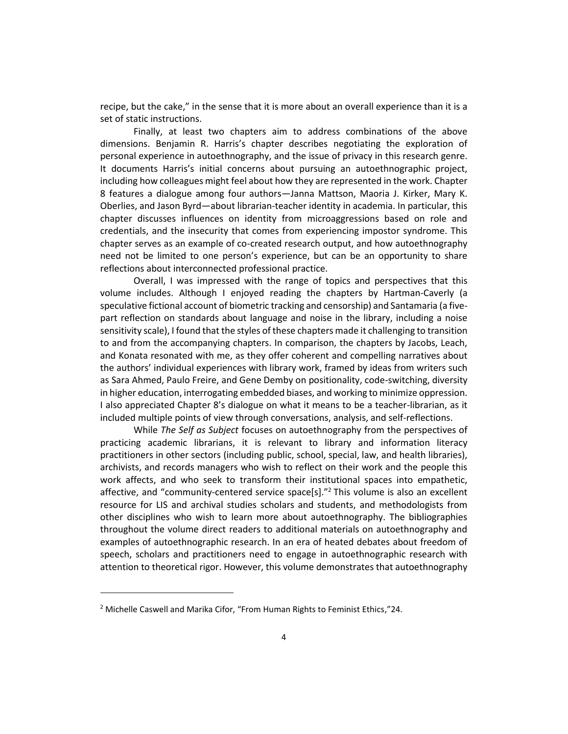recipe, but the cake," in the sense that it is more about an overall experience than it is a set of static instructions.

Finally, at least two chapters aim to address combinations of the above dimensions. Benjamin R. Harris's chapter describes negotiating the exploration of personal experience in autoethnography, and the issue of privacy in this research genre. It documents Harris's initial concerns about pursuing an autoethnographic project, including how colleagues might feel about how they are represented in the work. Chapter 8 features a dialogue among four authors—Janna Mattson, Maoria J. Kirker, Mary K. Oberlies, and Jason Byrd—about librarian-teacher identity in academia. In particular, this chapter discusses influences on identity from microaggressions based on role and credentials, and the insecurity that comes from experiencing impostor syndrome. This chapter serves as an example of co-created research output, and how autoethnography need not be limited to one person's experience, but can be an opportunity to share reflections about interconnected professional practice.

Overall, I was impressed with the range of topics and perspectives that this volume includes. Although I enjoyed reading the chapters by Hartman-Caverly (a speculative fictional account of biometric tracking and censorship) and Santamaria (a fivepart reflection on standards about language and noise in the library, including a noise sensitivity scale), I found that the styles of these chapters made it challenging to transition to and from the accompanying chapters. In comparison, the chapters by Jacobs, Leach, and Konata resonated with me, as they offer coherent and compelling narratives about the authors' individual experiences with library work, framed by ideas from writers such as Sara Ahmed, Paulo Freire, and Gene Demby on positionality, code-switching, diversity in higher education, interrogating embedded biases, and working to minimize oppression. I also appreciated Chapter 8's dialogue on what it means to be a teacher-librarian, as it included multiple points of view through conversations, analysis, and self-reflections.

While *The Self as Subject* focuses on autoethnography from the perspectives of practicing academic librarians, it is relevant to library and information literacy practitioners in other sectors (including public, school, special, law, and health libraries), archivists, and records managers who wish to reflect on their work and the people this work affects, and who seek to transform their institutional spaces into empathetic, affective, and "community-centered service space[s]."<sup>2</sup> This volume is also an excellent resource for LIS and archival studies scholars and students, and methodologists from other disciplines who wish to learn more about autoethnography. The bibliographies throughout the volume direct readers to additional materials on autoethnography and examples of autoethnographic research. In an era of heated debates about freedom of speech, scholars and practitioners need to engage in autoethnographic research with attention to theoretical rigor. However, this volume demonstrates that autoethnography

<sup>&</sup>lt;sup>2</sup> Michelle Caswell and Marika Cifor, "From Human Rights to Feminist Ethics,"24.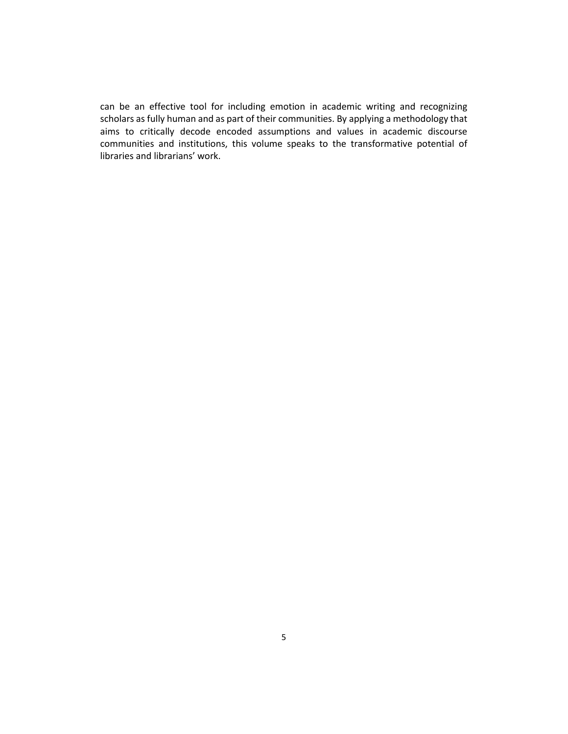can be an effective tool for including emotion in academic writing and recognizing scholars as fully human and as part of their communities. By applying a methodology that aims to critically decode encoded assumptions and values in academic discourse communities and institutions, this volume speaks to the transformative potential of libraries and librarians' work.